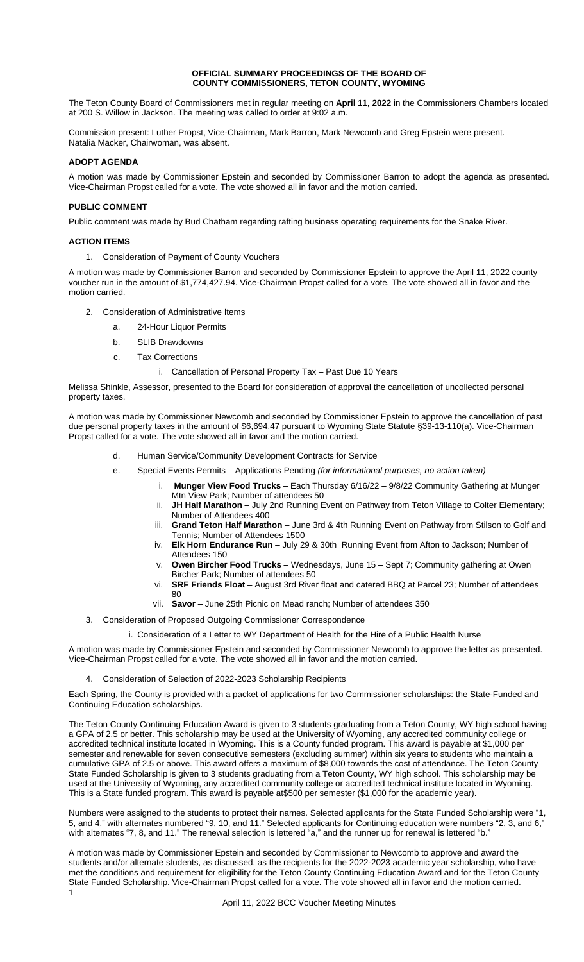## **OFFICIAL SUMMARY PROCEEDINGS OF THE BOARD OF COUNTY COMMISSIONERS, TETON COUNTY, WYOMING**

The Teton County Board of Commissioners met in regular meeting on **April 11, 2022** in the Commissioners Chambers located at 200 S. Willow in Jackson. The meeting was called to order at 9:02 a.m.

Commission present: Luther Propst, Vice-Chairman, Mark Barron, Mark Newcomb and Greg Epstein were present. Natalia Macker, Chairwoman, was absent.

# **ADOPT AGENDA**

A motion was made by Commissioner Epstein and seconded by Commissioner Barron to adopt the agenda as presented. Vice-Chairman Propst called for a vote. The vote showed all in favor and the motion carried.

## **PUBLIC COMMENT**

Public comment was made by Bud Chatham regarding rafting business operating requirements for the Snake River.

## **ACTION ITEMS**

1. Consideration of Payment of County Vouchers

A motion was made by Commissioner Barron and seconded by Commissioner Epstein to approve the April 11, 2022 county voucher run in the amount of \$1,774,427.94. Vice-Chairman Propst called for a vote. The vote showed all in favor and the motion carried.

- 2. Consideration of Administrative Items
	- a. 24-Hour Liquor Permits
	- b. SLIB Drawdowns
	- c. Tax Corrections

## i. Cancellation of Personal Property Tax – Past Due 10 Years

Melissa Shinkle, Assessor, presented to the Board for consideration of approval the cancellation of uncollected personal property taxes.

A motion was made by Commissioner Newcomb and seconded by Commissioner Epstein to approve the cancellation of past due personal property taxes in the amount of \$6,694.47 pursuant to Wyoming State Statute §39-13-110(a). Vice-Chairman Propst called for a vote. The vote showed all in favor and the motion carried.

- d. Human Service/Community Development Contracts for Service
- e. Special Events Permits Applications Pending *(for informational purposes, no action taken)*
	- i. **Munger View Food Trucks** Each Thursday 6/16/22 9/8/22 Community Gathering at Munger Mtn View Park; Number of attendees 50
	- ii. **JH Half Marathon** July 2nd Running Event on Pathway from Teton Village to Colter Elementary; Number of Attendees 400
	- iii. **Grand Teton Half Marathon** June 3rd & 4th Running Event on Pathway from Stilson to Golf and Tennis; Number of Attendees 1500
	- iv. **Elk Horn Endurance Run** July 29 & 30th Running Event from Afton to Jackson; Number of Attendees 150
	- v. **Owen Bircher Food Trucks** Wednesdays, June 15 Sept 7; Community gathering at Owen Bircher Park; Number of attendees 50
	- vi. **SRF Friends Float**  August 3rd River float and catered BBQ at Parcel 23; Number of attendees 80
	- vii. **Savor**  June 25th Picnic on Mead ranch; Number of attendees 350
- 3. Consideration of Proposed Outgoing Commissioner Correspondence
	- i. Consideration of a Letter to WY Department of Health for the Hire of a Public Health Nurse

A motion was made by Commissioner Epstein and seconded by Commissioner Newcomb to approve the letter as presented. Vice-Chairman Propst called for a vote. The vote showed all in favor and the motion carried.

### 4. Consideration of Selection of 2022-2023 Scholarship Recipients

Each Spring, the County is provided with a packet of applications for two Commissioner scholarships: the State-Funded and Continuing Education scholarships.

The Teton County Continuing Education Award is given to 3 students graduating from a Teton County, WY high school having a GPA of 2.5 or better. This scholarship may be used at the University of Wyoming, any accredited community college or accredited technical institute located in Wyoming. This is a County funded program. This award is payable at \$1,000 per semester and renewable for seven consecutive semesters (excluding summer) within six years to students who maintain a cumulative GPA of 2.5 or above. This award offers a maximum of \$8,000 towards the cost of attendance. The Teton County State Funded Scholarship is given to 3 students graduating from a Teton County, WY high school. This scholarship may be used at the University of Wyoming, any accredited community college or accredited technical institute located in Wyoming. This is a State funded program. This award is payable at\$500 per semester (\$1,000 for the academic year).

Numbers were assigned to the students to protect their names. Selected applicants for the State Funded Scholarship were "1, 5, and 4," with alternates numbered "9, 10, and 11." Selected applicants for Continuing education were numbers "2, 3, and 6," with alternates "7, 8, and 11." The renewal selection is lettered "a," and the runner up for renewal is lettered "b."

1 A motion was made by Commissioner Epstein and seconded by Commissioner to Newcomb to approve and award the students and/or alternate students, as discussed, as the recipients for the 2022-2023 academic year scholarship, who have met the conditions and requirement for eligibility for the Teton County Continuing Education Award and for the Teton County State Funded Scholarship. Vice-Chairman Propst called for a vote. The vote showed all in favor and the motion carried.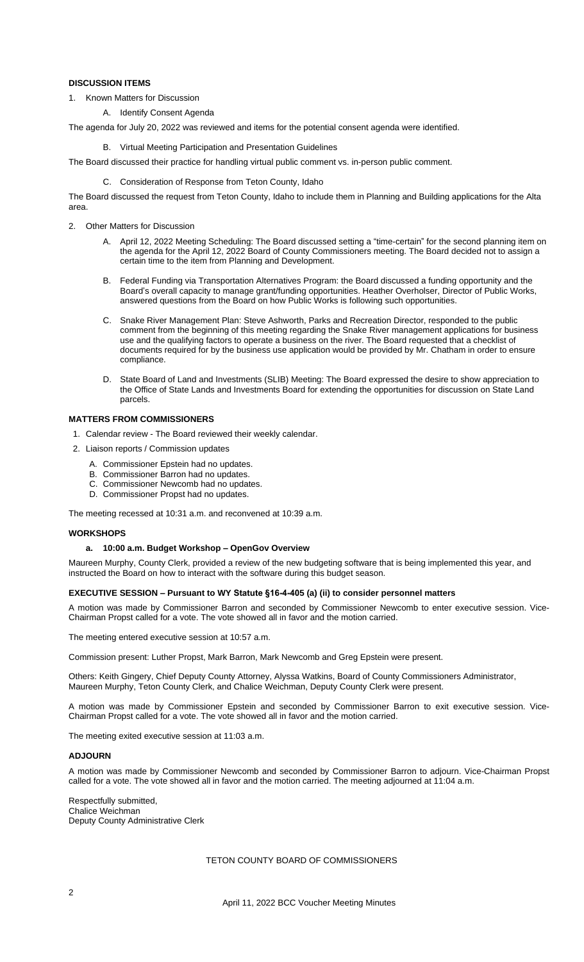# **DISCUSSION ITEMS**

- 1. Known Matters for Discussion
	- A. Identify Consent Agenda

The agenda for July 20, 2022 was reviewed and items for the potential consent agenda were identified.

B. Virtual Meeting Participation and Presentation Guidelines

The Board discussed their practice for handling virtual public comment vs. in-person public comment.

C. Consideration of Response from Teton County, Idaho

The Board discussed the request from Teton County, Idaho to include them in Planning and Building applications for the Alta area.

- 2. Other Matters for Discussion
	- A. April 12, 2022 Meeting Scheduling: The Board discussed setting a "time-certain" for the second planning item on the agenda for the April 12, 2022 Board of County Commissioners meeting. The Board decided not to assign a certain time to the item from Planning and Development.
	- B. Federal Funding via Transportation Alternatives Program: the Board discussed a funding opportunity and the Board's overall capacity to manage grant/funding opportunities. Heather Overholser, Director of Public Works, answered questions from the Board on how Public Works is following such opportunities.
	- C. Snake River Management Plan: Steve Ashworth, Parks and Recreation Director, responded to the public comment from the beginning of this meeting regarding the Snake River management applications for business use and the qualifying factors to operate a business on the river. The Board requested that a checklist of documents required for by the business use application would be provided by Mr. Chatham in order to ensure compliance.
	- D. State Board of Land and Investments (SLIB) Meeting: The Board expressed the desire to show appreciation to the Office of State Lands and Investments Board for extending the opportunities for discussion on State Land parcels.

## **MATTERS FROM COMMISSIONERS**

- 1. Calendar review The Board reviewed their weekly calendar.
- 2. Liaison reports / Commission updates
	- A. Commissioner Epstein had no updates.
	- B. Commissioner Barron had no updates.
	- Commissioner Newcomb had no updates.
	- Commissioner Propst had no updates.

The meeting recessed at 10:31 a.m. and reconvened at 10:39 a.m.

### **WORKSHOPS**

### **a. 10:00 a.m. Budget Workshop – OpenGov Overview**

Maureen Murphy, County Clerk, provided a review of the new budgeting software that is being implemented this year, and instructed the Board on how to interact with the software during this budget season.

### **EXECUTIVE SESSION – Pursuant to WY Statute §16-4-405 (a) (ii) to consider personnel matters**

A motion was made by Commissioner Barron and seconded by Commissioner Newcomb to enter executive session. Vice-Chairman Propst called for a vote. The vote showed all in favor and the motion carried.

The meeting entered executive session at 10:57 a.m.

Commission present: Luther Propst, Mark Barron, Mark Newcomb and Greg Epstein were present.

Others: Keith Gingery, Chief Deputy County Attorney, Alyssa Watkins, Board of County Commissioners Administrator, Maureen Murphy, Teton County Clerk, and Chalice Weichman, Deputy County Clerk were present.

A motion was made by Commissioner Epstein and seconded by Commissioner Barron to exit executive session. Vice-Chairman Propst called for a vote. The vote showed all in favor and the motion carried.

The meeting exited executive session at 11:03 a.m.

# **ADJOURN**

A motion was made by Commissioner Newcomb and seconded by Commissioner Barron to adjourn. Vice-Chairman Propst called for a vote. The vote showed all in favor and the motion carried. The meeting adjourned at 11:04 a.m.

Respectfully submitted, Chalice Weichman Deputy County Administrative Clerk

TETON COUNTY BOARD OF COMMISSIONERS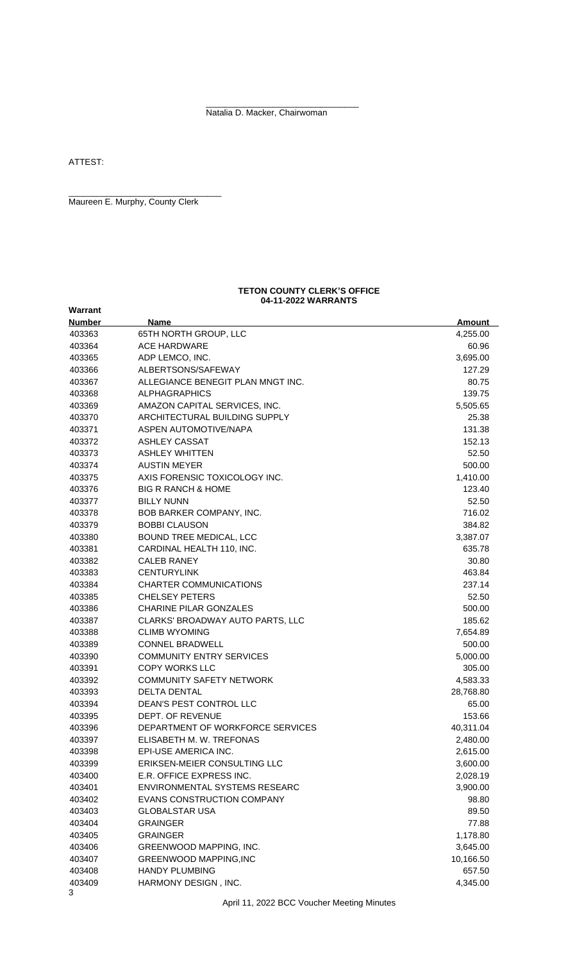\_\_\_\_\_\_\_\_\_\_\_\_\_\_\_\_\_\_\_\_\_\_\_\_\_\_\_\_\_\_\_\_ Natalia D. Macker, Chairwoman

ATTEST:

**Warrant**

Maureen E. Murphy, County Clerk

\_\_\_\_\_\_\_\_\_\_\_\_\_\_\_\_\_\_\_\_\_\_\_\_\_\_\_\_\_\_\_\_

#### **TETON COUNTY CLERK'S OFFICE 04-11-2022 WARRANTS**

| <b>Number</b> | <b>Name</b>                       | <u>Amount</u> |
|---------------|-----------------------------------|---------------|
| 403363        | 65TH NORTH GROUP, LLC             | 4,255.00      |
| 403364        | <b>ACE HARDWARE</b>               | 60.96         |
| 403365        | ADP LEMCO, INC.                   | 3,695.00      |
| 403366        | ALBERTSONS/SAFEWAY                | 127.29        |
| 403367        | ALLEGIANCE BENEGIT PLAN MNGT INC. | 80.75         |
| 403368        | <b>ALPHAGRAPHICS</b>              | 139.75        |
| 403369        | AMAZON CAPITAL SERVICES, INC.     | 5,505.65      |
| 403370        | ARCHITECTURAL BUILDING SUPPLY     | 25.38         |
| 403371        | ASPEN AUTOMOTIVE/NAPA             | 131.38        |
| 403372        | <b>ASHLEY CASSAT</b>              | 152.13        |
| 403373        | <b>ASHLEY WHITTEN</b>             | 52.50         |
| 403374        | <b>AUSTIN MEYER</b>               | 500.00        |
| 403375        | AXIS FORENSIC TOXICOLOGY INC.     | 1,410.00      |
| 403376        | <b>BIG R RANCH &amp; HOME</b>     | 123.40        |
| 403377        | <b>BILLY NUNN</b>                 | 52.50         |
| 403378        | BOB BARKER COMPANY, INC.          | 716.02        |
| 403379        | <b>BOBBI CLAUSON</b>              | 384.82        |
| 403380        | BOUND TREE MEDICAL, LCC           | 3,387.07      |
| 403381        | CARDINAL HEALTH 110, INC.         | 635.78        |
| 403382        | <b>CALEB RANEY</b>                | 30.80         |
| 403383        | <b>CENTURYLINK</b>                | 463.84        |
| 403384        | <b>CHARTER COMMUNICATIONS</b>     | 237.14        |
| 403385        | <b>CHELSEY PETERS</b>             | 52.50         |
| 403386        | <b>CHARINE PILAR GONZALES</b>     | 500.00        |
| 403387        | CLARKS' BROADWAY AUTO PARTS, LLC  | 185.62        |
| 403388        | <b>CLIMB WYOMING</b>              | 7,654.89      |
| 403389        | <b>CONNEL BRADWELL</b>            | 500.00        |
| 403390        | <b>COMMUNITY ENTRY SERVICES</b>   | 5,000.00      |
| 403391        | <b>COPY WORKS LLC</b>             | 305.00        |
| 403392        | <b>COMMUNITY SAFETY NETWORK</b>   | 4,583.33      |
| 403393        | <b>DELTA DENTAL</b>               | 28,768.80     |
| 403394        | DEAN'S PEST CONTROL LLC           | 65.00         |
| 403395        | DEPT. OF REVENUE                  | 153.66        |
| 403396        | DEPARTMENT OF WORKFORCE SERVICES  | 40,311.04     |
| 403397        | ELISABETH M. W. TREFONAS          | 2,480.00      |
| 403398        | EPI-USE AMERICA INC.              | 2,615.00      |
| 403399        | ERIKSEN-MEIER CONSULTING LLC      | 3,600.00      |
| 403400        | E.R. OFFICE EXPRESS INC.          | 2,028.19      |
| 403401        | ENVIRONMENTAL SYSTEMS RESEARC     | 3,900.00      |
| 403402        | EVANS CONSTRUCTION COMPANY        | 98.80         |
| 403403        | <b>GLOBALSTAR USA</b>             | 89.50         |
| 403404        | <b>GRAINGER</b>                   | 77.88         |
| 403405        | <b>GRAINGER</b>                   | 1,178.80      |
| 403406        | GREENWOOD MAPPING, INC.           | 3,645.00      |
| 403407        | <b>GREENWOOD MAPPING, INC</b>     | 10,166.50     |
| 403408        | <b>HANDY PLUMBING</b>             | 657.50        |
| 403409<br>3   | HARMONY DESIGN, INC.              | 4,345.00      |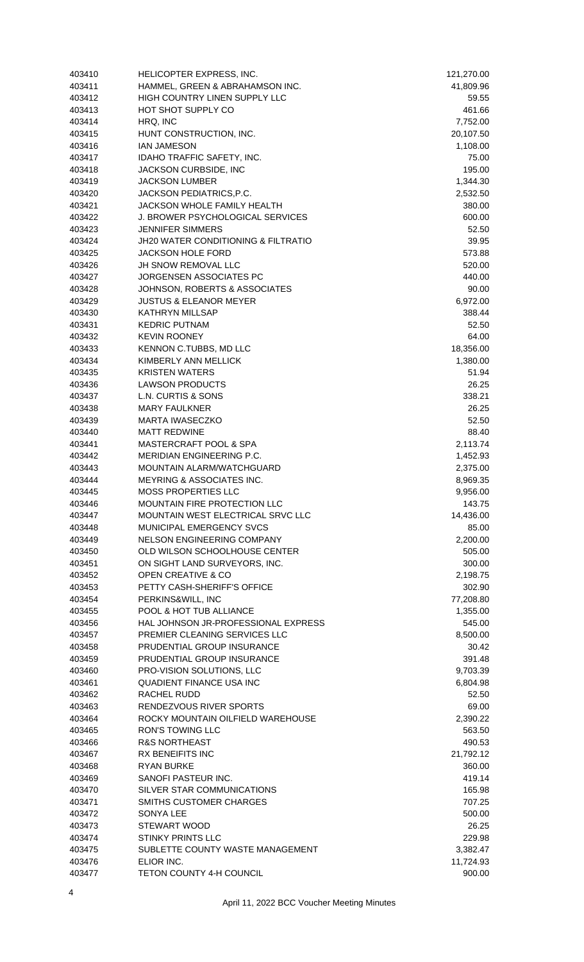| 403410 | HELICOPTER EXPRESS, INC.                       | 121,270.00 |
|--------|------------------------------------------------|------------|
| 403411 | HAMMEL, GREEN & ABRAHAMSON INC.                | 41,809.96  |
| 403412 | <b>HIGH COUNTRY LINEN SUPPLY LLC</b>           | 59.55      |
| 403413 | HOT SHOT SUPPLY CO                             | 461.66     |
| 403414 | HRQ, INC                                       | 7,752.00   |
| 403415 | HUNT CONSTRUCTION, INC.                        | 20,107.50  |
| 403416 | <b>IAN JAMESON</b>                             | 1,108.00   |
| 403417 | IDAHO TRAFFIC SAFETY, INC.                     | 75.00      |
| 403418 | JACKSON CURBSIDE, INC                          | 195.00     |
| 403419 | <b>JACKSON LUMBER</b>                          | 1,344.30   |
| 403420 | JACKSON PEDIATRICS, P.C.                       | 2,532.50   |
| 403421 | <b>JACKSON WHOLE FAMILY HEALTH</b>             | 380.00     |
| 403422 | J. BROWER PSYCHOLOGICAL SERVICES               | 600.00     |
| 403423 | <b>JENNIFER SIMMERS</b>                        | 52.50      |
| 403424 | <b>JH20 WATER CONDITIONING &amp; FILTRATIO</b> | 39.95      |
| 403425 | <b>JACKSON HOLE FORD</b>                       | 573.88     |
| 403426 | JH SNOW REMOVAL LLC                            | 520.00     |
| 403427 | JORGENSEN ASSOCIATES PC                        | 440.00     |
| 403428 | JOHNSON, ROBERTS & ASSOCIATES                  | 90.00      |
| 403429 | <b>JUSTUS &amp; ELEANOR MEYER</b>              | 6,972.00   |
| 403430 | <b>KATHRYN MILLSAP</b>                         | 388.44     |
| 403431 | <b>KEDRIC PUTNAM</b>                           | 52.50      |
| 403432 | <b>KEVIN ROONEY</b>                            | 64.00      |
| 403433 | KENNON C.TUBBS, MD LLC                         | 18,356.00  |
| 403434 | KIMBERLY ANN MELLICK                           | 1,380.00   |
| 403435 | <b>KRISTEN WATERS</b>                          | 51.94      |
| 403436 | <b>LAWSON PRODUCTS</b>                         | 26.25      |
| 403437 | L.N. CURTIS & SONS                             | 338.21     |
| 403438 | <b>MARY FAULKNER</b>                           | 26.25      |
| 403439 | MARTA IWASECZKO                                | 52.50      |
| 403440 | <b>MATT REDWINE</b>                            | 88.40      |
| 403441 | MASTERCRAFT POOL & SPA                         | 2,113.74   |
| 403442 | <b>MERIDIAN ENGINEERING P.C.</b>               | 1,452.93   |
| 403443 | MOUNTAIN ALARM/WATCHGUARD                      | 2,375.00   |
| 403444 | <b>MEYRING &amp; ASSOCIATES INC.</b>           | 8,969.35   |
| 403445 | <b>MOSS PROPERTIES LLC</b>                     | 9,956.00   |
| 403446 | MOUNTAIN FIRE PROTECTION LLC                   | 143.75     |
| 403447 | MOUNTAIN WEST ELECTRICAL SRVC LLC              | 14,436.00  |
| 403448 | MUNICIPAL EMERGENCY SVCS                       | 85.00      |
| 403449 | NELSON ENGINEERING COMPANY                     | 2,200.00   |
| 403450 | OLD WILSON SCHOOLHOUSE CENTER                  | 505.00     |
| 403451 | ON SIGHT LAND SURVEYORS, INC.                  | 300.00     |
| 403452 | OPEN CREATIVE & CO                             | 2,198.75   |
| 403453 | PETTY CASH-SHERIFF'S OFFICE                    | 302.90     |
| 403454 | PERKINS&WILL, INC                              | 77,208.80  |
| 403455 | POOL & HOT TUB ALLIANCE                        | 1,355.00   |
| 403456 | HAL JOHNSON JR-PROFESSIONAL EXPRESS            | 545.00     |
| 403457 | PREMIER CLEANING SERVICES LLC                  | 8,500.00   |
| 403458 | PRUDENTIAL GROUP INSURANCE                     | 30.42      |
| 403459 | PRUDENTIAL GROUP INSURANCE                     | 391.48     |
| 403460 | PRO-VISION SOLUTIONS, LLC                      | 9,703.39   |
| 403461 | QUADIENT FINANCE USA INC                       | 6,804.98   |
| 403462 | RACHEL RUDD                                    | 52.50      |
| 403463 | RENDEZVOUS RIVER SPORTS                        | 69.00      |
| 403464 | ROCKY MOUNTAIN OILFIELD WAREHOUSE              | 2,390.22   |
| 403465 | <b>RON'S TOWING LLC</b>                        | 563.50     |
| 403466 | <b>R&amp;S NORTHEAST</b>                       | 490.53     |
| 403467 | <b>RX BENEIFITS INC</b>                        | 21,792.12  |
| 403468 | <b>RYAN BURKE</b>                              | 360.00     |
| 403469 | SANOFI PASTEUR INC.                            | 419.14     |
| 403470 | SILVER STAR COMMUNICATIONS                     | 165.98     |
| 403471 | SMITHS CUSTOMER CHARGES                        | 707.25     |
| 403472 | <b>SONYA LEE</b>                               | 500.00     |
| 403473 | <b>STEWART WOOD</b>                            | 26.25      |
| 403474 | <b>STINKY PRINTS LLC</b>                       | 229.98     |
| 403475 | SUBLETTE COUNTY WASTE MANAGEMENT               | 3,382.47   |
| 403476 | ELIOR INC.                                     | 11,724.93  |
| 403477 | TETON COUNTY 4-H COUNCIL                       | 900.00     |
|        |                                                |            |